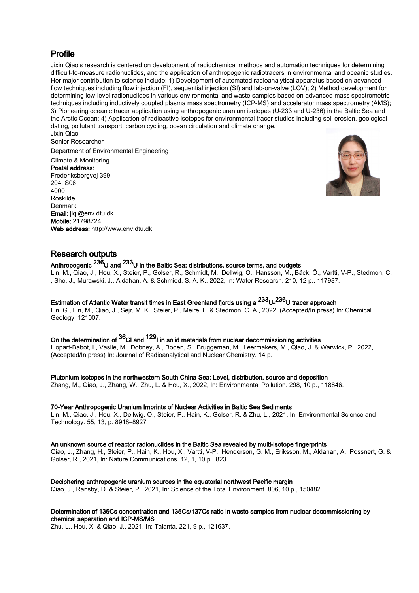## Profile

Jixin Qiao's research is centered on development of radiochemical methods and automation techniques for determining difficult-to-measure radionuclides, and the application of anthropogenic radiotracers in environmental and oceanic studies. Her major contribution to science include: 1) Development of automated radioanalytical apparatus based on advanced flow techniques including flow injection (FI), sequential injection (SI) and lab-on-valve (LOV); 2) Method development for determining low-level radionuclides in various environmental and waste samples based on advanced mass spectrometric techniques including inductively coupled plasma mass spectrometry (ICP-MS) and accelerator mass spectrometry (AMS); 3) Pioneering oceanic tracer application using anthropogenic uranium isotopes (U-233 and U-236) in the Baltic Sea and the Arctic Ocean; 4) Application of radioactive isotopes for environmental tracer studies including soil erosion, geological dating, pollutant transport, carbon cycling, ocean circulation and climate change. Jixin Qiao

Senior Researcher

Department of Environmental Engineering

## Climate & Monitoring

Postal address: Frederiksborgvej 399 204, S06 4000 Roskilde Denmark Email: jiqi@env.dtu.dk Mobile: 21798724 Web address: http://www.env.dtu.dk



## Research outputs

# Anthropogenic 236U and 233U in the Baltic Sea: distributions, source terms, and budgets

Lin, M., Qiao, J., Hou, X., Steier, P., Golser, R., Schmidt, M., Dellwig, O., Hansson, M., Bäck, Ö., Vartti, V-P., Stedmon, C. , She, J., Murawski, J., Aldahan, A. & Schmied, S. A. K., 2022, In: Water Research. 210, 12 p., 117987.

# Estimation of Atlantic Water transit times in East Greenland fjords using a  $^{233}$ U- $^{236}$ U tracer approach

Lin, G., Lin, M., Qiao, J., Sejr, M. K., Steier, P., Meire, L. & Stedmon, C. A., 2022, (Accepted/In press) In: Chemical Geology. 121007.

# On the determination of  ${\rm ^{36}C}$ l and  ${\rm ^{129}$ l in solid materials from nuclear decommissioning activities

Llopart-Babot, I., Vasile, M., Dobney, A., Boden, S., Bruggeman, M., Leermakers, M., Qiao, J. & Warwick, P., 2022, (Accepted/In press) In: Journal of Radioanalytical and Nuclear Chemistry. 14 p.

### Plutonium isotopes in the northwestern South China Sea: Level, distribution, source and deposition

Zhang, M., Qiao, J., Zhang, W., Zhu, L. & Hou, X., 2022, In: Environmental Pollution. 298, 10 p., 118846.

### 70-Year Anthropogenic Uranium Imprints of Nuclear Activities in Baltic Sea Sediments

Lin, M., Qiao, J., Hou, X., Dellwig, O., Steier, P., Hain, K., Golser, R. & Zhu, L., 2021, In: Environmental Science and Technology. 55, 13, p. 8918–8927

### An unknown source of reactor radionuclides in the Baltic Sea revealed by multi-isotope fingerprints

Qiao, J., Zhang, H., Steier, P., Hain, K., Hou, X., Vartti, V-P., Henderson, G. M., Eriksson, M., Aldahan, A., Possnert, G. & Golser, R., 2021, In: Nature Communications. 12, 1, 10 p., 823.

## Deciphering anthropogenic uranium sources in the equatorial northwest Pacific margin

Qiao, J., Ransby, D. & Steier, P., 2021, In: Science of the Total Environment. 806, 10 p., 150482.

### Determination of 135Cs concentration and 135Cs/137Cs ratio in waste samples from nuclear decommissioning by chemical separation and ICP-MS/MS

Zhu, L., Hou, X. & Qiao, J., 2021, In: Talanta. 221, 9 p., 121637.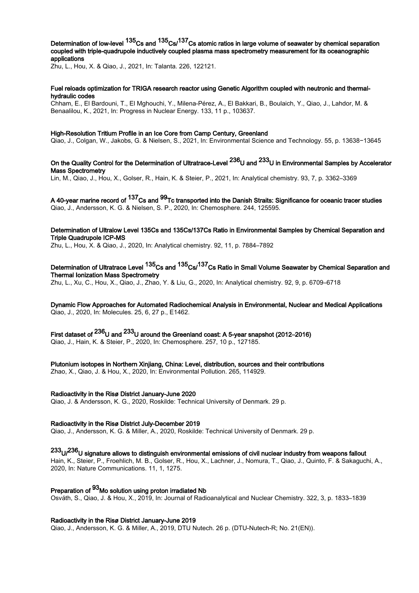Determination of low-level <sup>135</sup>Cs and <sup>135</sup>Cs/<sup>137</sup>Cs atomic ratios in large volume of seawater by chemical separation coupled with triple-quadrupole inductively coupled plasma mass spectrometry measurement for its oceanographic applications

Zhu, L., Hou, X. & Qiao, J., 2021, In: Talanta. 226, 122121.

### Fuel reloads optimization for TRIGA research reactor using Genetic Algorithm coupled with neutronic and thermalhydraulic codes

Chham, E., El Bardouni, T., El Mghouchi, Y., Milena-Pérez, A., El Bakkari, B., Boulaich, Y., Qiao, J., Lahdor, M. & Benaalilou, K., 2021, In: Progress in Nuclear Energy. 133, 11 p., 103637.

### High-Resolution Tritium Profile in an Ice Core from Camp Century, Greenland

Qiao, J., Colgan, W., Jakobs, G. & Nielsen, S., 2021, In: Environmental Science and Technology. 55, p. 13638−13645

# On the Quality Control for the Determination of Ultratrace-Level <sup>236</sup>U and <sup>233</sup>U in Environmental Samples by Accelerator Mass Spectrometry

Lin, M., Qiao, J., Hou, X., Golser, R., Hain, K. & Steier, P., 2021, In: Analytical chemistry. 93, 7, p. 3362–3369

A 40-year marine record of <sup>137</sup>Cs and <sup>99</sup>Tc transported into the Danish Straits: Significance for oceanic tracer studies Qiao, J., Andersson, K. G. & Nielsen, S. P., 2020, In: Chemosphere. 244, 125595.

Determination of Ultralow Level 135Cs and 135Cs/137Cs Ratio in Environmental Samples by Chemical Separation and Triple Quadrupole ICP-MS

Zhu, L., Hou, X. & Qiao, J., 2020, In: Analytical chemistry. 92, 11, p. 7884–7892

## Determination of Ultratrace Level  $^{135}$ Cs and  $^{135}$ Cs/ $^{137}$ Cs Ratio in Small Volume Seawater by Chemical Separation and Thermal Ionization Mass Spectrometry

Zhu, L., Xu, C., Hou, X., Qiao, J., Zhao, Y. & Liu, G., 2020, In: Analytical chemistry. 92, 9, p. 6709–6718

Dynamic Flow Approaches for Automated Radiochemical Analysis in Environmental, Nuclear and Medical Applications Qiao, J., 2020, In: Molecules. 25, 6, 27 p., E1462.

First dataset of  $^{236}$ U and  $^{233}$ U around the Greenland coast: A 5-year snapshot (2012–2016) Qiao, J., Hain, K. & Steier, P., 2020, In: Chemosphere. 257, 10 p., 127185.

Plutonium isotopes in Northern Xinjiang, China: Level, distribution, sources and their contributions

Zhao, X., Qiao, J. & Hou, X., 2020, In: Environmental Pollution. 265, 114929.

#### Radioactivity in the Risø District January-June 2020

Qiao, J. & Andersson, K. G., 2020, Roskilde: Technical University of Denmark. 29 p.

#### Radioactivity in the Risø District July-December 2019

Qiao, J., Andersson, K. G. & Miller, A., 2020, Roskilde: Technical University of Denmark. 29 p.

# $^{233}$ U/ $^{236}$ U signature allows to distinguish environmental emissions of civil nuclear industry from weapons fallout

Hain, K., Steier, P., Froehlich, M. B., Golser, R., Hou, X., Lachner, J., Nomura, T., Qiao, J., Quinto, F. & Sakaguchi, A., 2020, In: Nature Communications. 11, 1, 1275.

# Preparation of <sup>93</sup>Mo solution using proton irradiated Nb

Osváth, S., Qiao, J. & Hou, X., 2019, In: Journal of Radioanalytical and Nuclear Chemistry. 322, 3, p. 1833–1839

### Radioactivity in the Risø District January-June 2019

Qiao, J., Andersson, K. G. & Miller, A., 2019, DTU Nutech. 26 p. (DTU-Nutech-R; No. 21(EN)).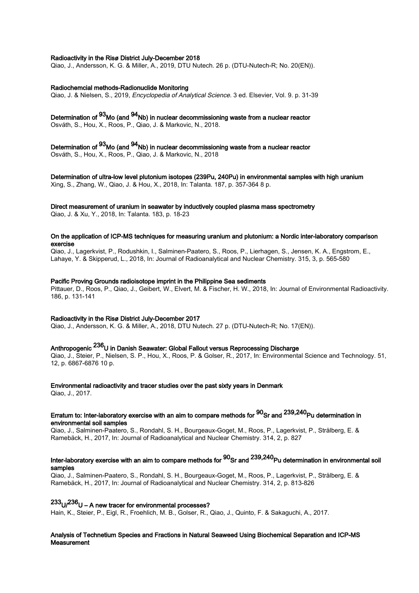### Radioactivity in the Risø District July-December 2018

Qiao, J., Andersson, K. G. & Miller, A., 2019, DTU Nutech. 26 p. (DTU-Nutech-R; No. 20(EN)).

#### Radiochemcial methods-Radionuclide Monitoring

Qiao, J. & Nielsen, S., 2019, Encyclopedia of Analytical Science. 3 ed. Elsevier, Vol. 9. p. 31-39

# Determination of 93Mo (and 94Nb) in nuclear decommissioning waste from a nuclear reactor

Osváth, S., Hou, X., Roos, P., Qiao, J. & Markovic, N., 2018.

Determination of <sup>93</sup>Mo (and <sup>94</sup>Nb) in nuclear decommissioning waste from a nuclear reactor Osváth, S., Hou, X., Roos, P., Qiao, J. & Markovic, N., 2018

#### Determination of ultra-low level plutonium isotopes (239Pu, 240Pu) in environmental samples with high uranium Xing, S., Zhang, W., Qiao, J. & Hou, X., 2018, In: Talanta. 187, p. 357-364 8 p.

### Direct measurement of uranium in seawater by inductively coupled plasma mass spectrometry

Qiao, J. & Xu, Y., 2018, In: Talanta. 183, p. 18-23

### On the application of ICP-MS techniques for measuring uranium and plutonium: a Nordic inter-laboratory comparison exercise

Qiao, J., Lagerkvist, P., Rodushkin, I., Salminen-Paatero, S., Roos, P., Lierhagen, S., Jensen, K. A., Engstrom, E., Lahaye, Y. & Skipperud, L., 2018, In: Journal of Radioanalytical and Nuclear Chemistry. 315, 3, p. 565-580

## Pacific Proving Grounds radioisotope imprint in the Philippine Sea sediments

Pittauer, D., Roos, P., Qiao, J., Geibert, W., Elvert, M. & Fischer, H. W., 2018, In: Journal of Environmental Radioactivity. 186, p. 131-141

### Radioactivity in the Risø District July-December 2017

Qiao, J., Andersson, K. G. & Miller, A., 2018, DTU Nutech. 27 p. (DTU-Nutech-R; No. 17(EN)).

# Anthropogenic 236U in Danish Seawater: Global Fallout versus Reprocessing Discharge

Qiao, J., Steier, P., Nielsen, S. P., Hou, X., Roos, P. & Golser, R., 2017, In: Environmental Science and Technology. 51, 12, p. 6867-6876 10 p.

## Environmental radioactivity and tracer studies over the past sixty years in Denmark

Qiao, J., 2017.

## Erratum to: Inter-laboratory exercise with an aim to compare methods for  $^{90}$ Sr and  $^{239,240}$ Pu determination in environmental soil samples

Qiao, J., Salminen-Paatero, S., Rondahl, S. H., Bourgeaux-Goget, M., Roos, P., Lagerkvist, P., Strålberg, E. & Ramebäck, H., 2017, In: Journal of Radioanalytical and Nuclear Chemistry. 314, 2, p. 827

# Inter-laboratory exercise with an aim to compare methods for  $^{90}$ Sr and  $^{239,240}$ Pu determination in environmental soil samples

Qiao, J., Salminen-Paatero, S., Rondahl, S. H., Bourgeaux-Goget, M., Roos, P., Lagerkvist, P., Strålberg, E. & Ramebäck, H., 2017, In: Journal of Radioanalytical and Nuclear Chemistry. 314, 2, p. 813-826

# $^{233}$ U/ $^{236}$ U – A new tracer for environmental processes?

Hain, K., Steier, P., Eigl, R., Froehlich, M. B., Golser, R., Qiao, J., Quinto, F. & Sakaguchi, A., 2017.

### Analysis of Technetium Species and Fractions in Natural Seaweed Using Biochemical Separation and ICP-MS Measurement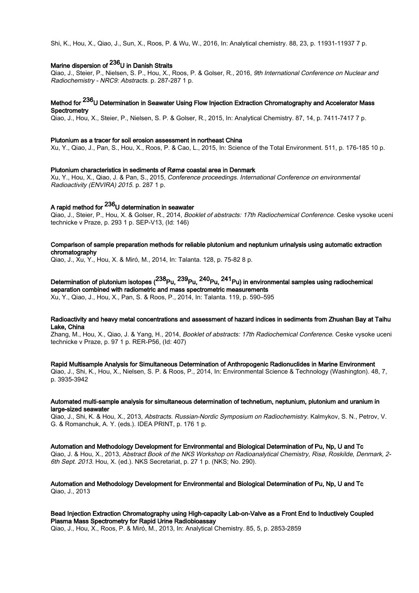Shi, K., Hou, X., Qiao, J., Sun, X., Roos, P. & Wu, W., 2016, In: Analytical chemistry. 88, 23, p. 11931-11937 7 p.

# Marine dispersion of <sup>236</sup>U in Danish Straits

Qiao, J., Steier, P., Nielsen, S. P., Hou, X., Roos, P. & Golser, R., 2016, 9th International Conference on Nuclear and Radiochemistry - NRC9: Abstracts. p. 287-287 1 p.

# Method for <sup>236</sup>U Determination in Seawater Using Flow Injection Extraction Chromatography and Accelerator Mass **Spectrometry**

Qiao, J., Hou, X., Steier, P., Nielsen, S. P. & Golser, R., 2015, In: Analytical Chemistry. 87, 14, p. 7411-7417 7 p.

#### Plutonium as a tracer for soil erosion assessment in northeast China

Xu, Y., Qiao, J., Pan, S., Hou, X., Roos, P. & Cao, L., 2015, In: Science of the Total Environment. 511, p. 176-185 10 p.

#### Plutonium characteristics in sediments of Rømø coastal area in Denmark

Xu, Y., Hou, X., Qiao, J. & Pan, S., 2015, Conference proceedings. International Conference on environmental Radioactivity (ENVIRA) 2015. p. 287 1 p.

# A rapid method for  $^{236}$ U determination in seawater

Qiao, J., Steier, P., Hou, X. & Golser, R., 2014, Booklet of abstracts: 17th Radiochemical Conference. Ceske vysoke uceni technicke v Praze, p. 293 1 p. SEP-V13, (Id: 146)

### Comparison of sample preparation methods for reliable plutonium and neptunium urinalysis using automatic extraction chromatography

Qiao, J., Xu, Y., Hou, X. & Miró, M., 2014, In: Talanta. 128, p. 75-82 8 p.

# Determination of plutonium isotopes (<sup>238</sup>Pu, <sup>239</sup>Pu, <sup>240</sup>Pu, <sup>241</sup>Pu) in environmental samples using radiochemical separation combined with radiometric and mass spectrometric measurements

Xu, Y., Qiao, J., Hou, X., Pan, S. & Roos, P., 2014, In: Talanta. 119, p. 590–595

### Radioactivity and heavy metal concentrations and assessment of hazard indices in sediments from Zhushan Bay at Taihu Lake, China

Zhang, M., Hou, X., Qiao, J. & Yang, H., 2014, Booklet of abstracts: 17th Radiochemical Conference. Ceske vysoke uceni technicke v Praze, p. 97 1 p. RER-P56, (Id: 407)

Rapid Multisample Analysis for Simultaneous Determination of Anthropogenic Radionuclides in Marine Environment

Qiao, J., Shi, K., Hou, X., Nielsen, S. P. & Roos, P., 2014, In: Environmental Science & Technology (Washington). 48, 7, p. 3935-3942

### Automated multi-sample analysis for simultaneous determination of technetium, neptunium, plutonium and uranium in large-sized seawater

Qiao, J., Shi, K. & Hou, X., 2013, Abstracts. Russian-Nordic Symposium on Radiochemistry. Kalmykov, S. N., Petrov, V. G. & Romanchuk, A. Y. (eds.). IDEA PRINT, p. 176 1 p.

Automation and Methodology Development for Environmental and Biological Determination of Pu, Np, U and Tc

Qiao, J. & Hou, X., 2013, Abstract Book of the NKS Workshop on Radioanalytical Chemistry, Risø, Roskilde, Denmark, 2- 6th Sept. 2013. Hou, X. (ed.). NKS Secretariat, p. 27 1 p. (NKS; No. 290).

Automation and Methodology Development for Environmental and Biological Determination of Pu, Np, U and Tc Qiao, J., 2013

### Bead Injection Extraction Chromatography using High-capacity Lab-on-Valve as a Front End to Inductively Coupled Plasma Mass Spectrometry for Rapid Urine Radiobioassay

Qiao, J., Hou, X., Roos, P. & Miró, M., 2013, In: Analytical Chemistry. 85, 5, p. 2853-2859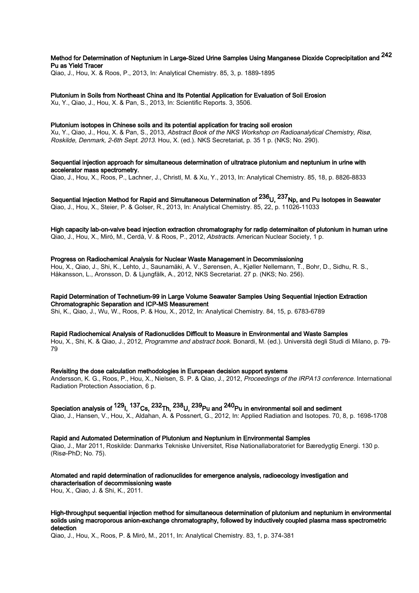# Method for Determination of Neptunium in Large-Sized Urine Samples Using Manganese Dioxide Coprecipitation and  $^{242}$ Pu as Yield Tracer

Qiao, J., Hou, X. & Roos, P., 2013, In: Analytical Chemistry. 85, 3, p. 1889-1895

Plutonium in Soils from Northeast China and Its Potential Application for Evaluation of Soil Erosion Xu, Y., Qiao, J., Hou, X. & Pan, S., 2013, In: Scientific Reports. 3, 3506.

### Plutonium isotopes in Chinese soils and its potential application for tracing soil erosion

Xu, Y., Qiao, J., Hou, X. & Pan, S., 2013, Abstract Book of the NKS Workshop on Radioanalytical Chemistry, Risø, Roskilde, Denmark, 2-6th Sept. 2013. Hou, X. (ed.). NKS Secretariat, p. 35 1 p. (NKS; No. 290).

Sequential injection approach for simultaneous determination of ultratrace plutonium and neptunium in urine with accelerator mass spectrometry.

Qiao, J., Hou, X., Roos, P., Lachner, J., Christl, M. & Xu, Y., 2013, In: Analytical Chemistry. 85, 18, p. 8826-8833

Sequential Injection Method for Rapid and Simultaneous Determination of  $^{236}$ U,  $^{237}$ Np, and Pu Isotopes in Seawater Qiao, J., Hou, X., Steier, P. & Golser, R., 2013, In: Analytical Chemistry. 85, 22, p. 11026-11033

High capacity lab-on-valve bead injection extraction chromatography for radip determinaiton of plutonium in human urine Qiao, J., Hou, X., Miró, M., Cerdà, V. & Roos, P., 2012, Abstracts. American Nuclear Society, 1 p.

### Progress on Radiochemical Analysis for Nuclear Waste Management in Decommissioning

Hou, X., Qiao, J., Shi, K., Lehto, J., Saunamäki, A. V., Sørensen, A., Kjøller Nellemann, T., Bohr, D., Sidhu, R. S., Håkansson, L., Aronsson, D. & Ljungfälk, A., 2012, NKS Secretariat. 27 p. (NKS; No. 256).

### Rapid Determination of Technetium-99 in Large Volume Seawater Samples Using Sequential Injection Extraction Chromatographic Separation and ICP-MS Measurement

Shi, K., Qiao, J., Wu, W., Roos, P. & Hou, X., 2012, In: Analytical Chemistry. 84, 15, p. 6783-6789

#### Rapid Radiochemical Analysis of Radionuclides Difficult to Measure in Environmental and Waste Samples

Hou, X., Shi, K. & Qiao, J., 2012, Programme and abstract book. Bonardi, M. (ed.). Università degli Studi di Milano, p. 79- 79

#### Revisiting the dose calculation methodologies in European decision support systems

Andersson, K. G., Roos, P., Hou, X., Nielsen, S. P. & Qiao, J., 2012, Proceedings of the IRPA13 conference. International Radiation Protection Association, 6 p.

# Speciation analysis of  $^{129}$ I,  $^{137}$ Cs,  $^{232}$ Th,  $^{238}$ U,  $^{239}$ Pu and  $^{240}$ Pu in environmental soil and sediment

Qiao, J., Hansen, V., Hou, X., Aldahan, A. & Possnert, G., 2012, In: Applied Radiation and Isotopes. 70, 8, p. 1698-1708

## Rapid and Automated Determination of Plutonium and Neptunium in Environmental Samples

Qiao, J., Mar 2011, Roskilde: Danmarks Tekniske Universitet, Risø Nationallaboratoriet for Bæredygtig Energi. 130 p. (Risø-PhD; No. 75).

#### Atomated and rapid determination of radionuclides for emergence analysis, radioecology investigation and characterisation of decommissioning waste

Hou, X., Qiao, J. & Shi, K., 2011.

### High-throughput sequential injection method for simultaneous determination of plutonium and neptunium in environmental solids using macroporous anion-exchange chromatography, followed by inductively coupled plasma mass spectrometric detection

Qiao, J., Hou, X., Roos, P. & Miró, M., 2011, In: Analytical Chemistry. 83, 1, p. 374-381